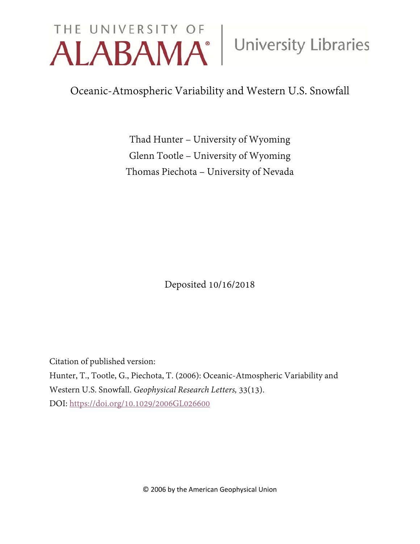# THE UNIVERSITY OF University Libraries

Oceanic-Atmospheric Variability and Western U.S. Snowfall

Thad Hunter – University of Wyoming Glenn Tootle – University of Wyoming Thomas Piechota – University of Nevada

Deposited 10/16/2018

Citation of published version:

Hunter, T., Tootle, G., Piechota, T. (2006): Oceanic-Atmospheric Variability and Western U.S. Snowfall. *Geophysical Research Letters,* 33(13). DOI:<https://doi.org/10.1029/2006GL026600>

© 2006 by the American Geophysical Union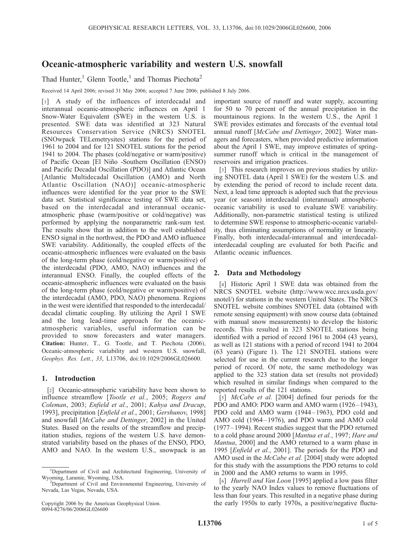# Oceanic-atmospheric variability and western U.S. snowfall

Thad Hunter,<sup>1</sup> Glenn Tootle,<sup>1</sup> and Thomas Piechota<sup>2</sup>

Received 14 April 2006; revised 31 May 2006; accepted 7 June 2006; published 8 July 2006.

[1] A study of the influences of interdecadal and interannual oceanic-atmospheric influences on April 1 Snow-Water Equivalent (SWE) in the western U.S. is presented. SWE data was identified at 323 Natural Resources Conservation Service (NRCS) SNOTEL (SNOwpack TELemetrysites) stations for the period of 1961 to 2004 and for 121 SNOTEL stations for the period 1941 to 2004. The phases (cold/negative or warm/positive) of Pacific Ocean [El Niño -Southern Oscillation (ENSO) and Pacific Decadal Oscillation (PDO)] and Atlantic Ocean [Atlantic Multidecadal Oscillation (AMO) and North Atlantic Oscillation (NAO)] oceanic-atmospheric influences were identified for the year prior to the SWE data set. Statistical significance testing of SWE data set, based on the interdecadal and interannual oceanicatmospheric phase (warm/positive or cold/negative) was performed by applying the nonparametric rank-sum test. The results show that in addition to the well established ENSO signal in the northwest, the PDO and AMO influence SWE variability. Additionally, the coupled effects of the oceanic-atmospheric influences were evaluated on the basis of the long-term phase (cold/negative or warm/positive) of the interdecadal (PDO, AMO, NAO) influences and the interannual ENSO. Finally, the coupled effects of the oceanic-atmospheric influences were evaluated on the basis of the long-term phase (cold/negative or warm/positive) of the interdecadal (AMO, PDO, NAO) phenomena. Regions in the west were identified that responded to the interdecadal/ decadal climatic coupling. By utilizing the April 1 SWE and the long lead-time approach for the oceanicatmospheric variables, useful information can be provided to snow forecasters and water managers. Citation: Hunter, T., G. Tootle, and T. Piechota (2006), Oceanic-atmospheric variability and western U.S. snowfall, Geophys. Res. Lett., 33, L13706, doi:10.1029/2006GL026600.

### 1. Introduction

[2] Oceanic-atmospheric variability have been shown to influence streamflow [Tootle et al., 2005; Rogers and Coleman, 2003; Enfield et al., 2001; Kahya and Dracup, 1993], precipitation [Enfield et al., 2001; Gershunov, 1998] and snowfall [McCabe and Dettinger, 2002] in the United States. Based on the results of the streamflow and precipitation studies, regions of the western U.S. have demonstrated variability based on the phases of the ENSO, PDO, AMO and NAO. In the western U.S., snowpack is an

important source of runoff and water supply, accounting for 50 to 70 percent of the annual precipitation in the mountainous regions. In the western U.S., the April 1 SWE provides estimates and forecasts of the eventual total annual runoff [McCabe and Dettinger, 2002]. Water managers and forecasters, when provided predictive information about the April 1 SWE, may improve estimates of springsummer runoff which is critical in the management of reservoirs and irrigation practices.

[3] This research improves on previous studies by utilizing SNOTEL data (April 1 SWE) for the western U.S. and by extending the period of record to include recent data. Next, a lead time approach is adopted such that the previous year (or season) interdecadal (interannual) atmosphericoceanic variability is used to evaluate SWE variability. Additionally, non-parametric statistical testing is utilized to determine SWE response to atmospheric-oceanic variability, thus eliminating assumptions of normality or linearity. Finally, both interdecadal-interannual and interdecadalinterdecadal coupling are evaluated for both Pacific and Atlantic oceanic influences.

## 2. Data and Methodology

[4] Historic April 1 SWE data was obtained from the NRCS SNOTEL website (http://www.wcc.nrcs.usda.gov/ snotel/) for stations in the western United States. The NRCS SNOTEL website combines SNOTEL data (obtained with remote sensing equipment) with snow course data (obtained with manual snow measurements) to develop the historic records. This resulted in 323 SNOTEL stations being identified with a period of record 1961 to 2004 (43 years), as well as 121 stations with a period of record 1941 to 2004 (63 years) (Figure 1). The 121 SNOTEL stations were selected for use in the current research due to the longer period of record. Of note, the same methodology was applied to the 323 station data set (results not provided) which resulted in similar findings when compared to the reported results of the 121 stations.

[5] *McCabe et al.* [2004] defined four periods for the PDO and AMO: PDO warm and AMO warm (1926-1943), PDO cold and AMO warm (1944–1963), PDO cold and AMO cold (1964–1976), and PDO warm and AMO cold (1977– 1994). Recent studies suggest that the PDO returned to a cold phase around 2000 [Mantua et al., 1997; Hare and Mantua, 2000] and the AMO returned to a warm phase in 1995 [Enfield et al., 2001]. The periods for the PDO and AMO used in the *McCabe et al.* [2004] study were adopted for this study with the assumptions the PDO returns to cold in 2000 and the AMO returns to warm in 1995.

[6] *Hurrell and Van Loon* [1995] applied a low pass filter to the yearly NAO Index values to remove fluctuations of less than four years. This resulted in a negative phase during the early 1950s to early 1970s, a positive/negative fluctu-

<sup>&</sup>lt;sup>1</sup>Department of Civil and Architectural Engineering, University of Wyoming, Laramie, Wyoming, USA. <sup>2</sup>

<sup>&</sup>lt;sup>2</sup>Department of Civil and Environmental Engineering, University of Nevada, Las Vegas, Nevada, USA.

Copyright 2006 by the American Geophysical Union. 0094-8276/06/2006GL026600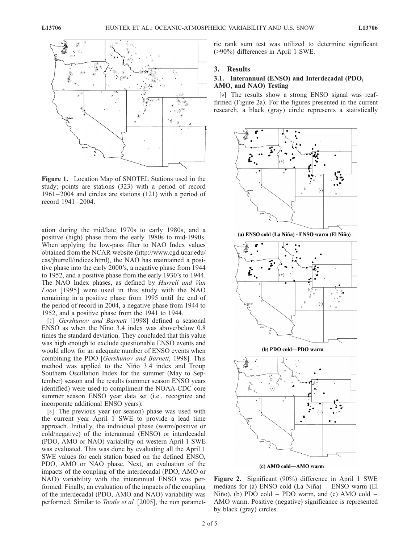

Figure 1. Location Map of SNOTEL Stations used in the study; points are stations (323) with a period of record 1961 – 2004 and circles are stations (121) with a period of record 1941-2004.

ation during the mid/late 1970s to early 1980s, and a positive (high) phase from the early 1980s to mid-1990s. When applying the low-pass filter to NAO Index values obtained from the NCAR website (http://www.cgd.ucar.edu/ cas/jhurrell/indices.html), the NAO has maintained a positive phase into the early 2000's, a negative phase from 1944 to 1952, and a positive phase from the early 1930's to 1944. The NAO Index phases, as defined by Hurrell and Van Loon [1995] were used in this study with the NAO remaining in a positive phase from 1995 until the end of the period of record in 2004, a negative phase from 1944 to 1952, and a positive phase from the 1941 to 1944.

[7] Gershunov and Barnett [1998] defined a seasonal ENSO as when the Nino 3.4 index was above/below 0.8 times the standard deviation. They concluded that this value was high enough to exclude questionable ENSO events and would allow for an adequate number of ENSO events when combining the PDO [Gershunov and Barnett, 1998]. This method was applied to the Niño 3.4 index and Troup Southern Oscillation Index for the summer (May to September) season and the results (summer season ENSO years identified) were used to compliment the NOAA-CDC core summer season ENSO year data set (i.e., recognize and incorporate additional ENSO years).

[8] The previous year (or season) phase was used with the current year April 1 SWE to provide a lead time approach. Initially, the individual phase (warm/positive or cold/negative) of the interannual (ENSO) or interdecadal (PDO, AMO or NAO) variability on western April 1 SWE was evaluated. This was done by evaluating all the April 1 SWE values for each station based on the defined ENSO, PDO, AMO or NAO phase. Next, an evaluation of the impacts of the coupling of the interdecadal (PDO, AMO or NAO) variability with the interannual ENSO was performed. Finally, an evaluation of the impacts of the coupling of the interdecadal (PDO, AMO and NAO) variability was performed. Similar to *Tootle et al.* [2005], the non parametric rank sum test was utilized to determine significant (>90%) differences in April 1 SWE.

### 3. Results

### 3.1. Interannual (ENSO) and Interdecadal (PDO, AMO, and NAO) Testing

[9] The results show a strong ENSO signal was reaffirmed (Figure 2a). For the figures presented in the current research, a black (gray) circle represents a statistically



(a) ENSO cold (La Nina) - ENSO warm (El Nino)



Figure 2. Significant (90%) difference in April 1 SWE medians for (a) ENSO cold  $(La Niña) - ENSO$  warm  $(E1$ Niño), (b) PDO cold – PDO warm, and (c) AMO cold – AMO warm. Positive (negative) significance is represented by black (gray) circles.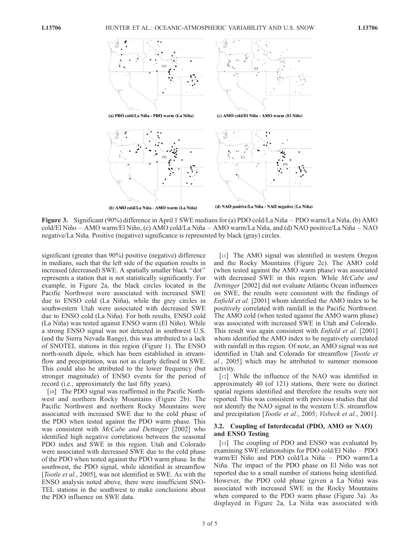

Figure 3. Significant (90%) difference in April 1 SWE medians for (a) PDO cold/La Niña – PDO warm/La Niña, (b) AMO cold/El Niño – AMO warm/El Niño, (c) AMO cold/La Niña – AMO warm/La Niña, and (d) NAO positive/La Niña – NAO negative/La Niña. Positive (negative) significance is represented by black (gray) circles.

significant (greater than 90%) positive (negative) difference in medians, such that the left side of the equation results in increased (decreased) SWE. A spatially smaller black ''dot'' represents a station that is not statistically significantly. For example, in Figure 2a, the black circles located in the Pacific Northwest were associated with increased SWE due to ENSO cold (La Niña), while the grey circles in southwestern Utah were associated with decreased SWE due to ENSO cold (La Niña). For both results, ENSO cold (La Niña) was tested against ENSO warm (El Niño). While a strong ENSO signal was not detected in southwest U.S. (and the Sierra Nevada Range), this was attributed to a lack of SNOTEL stations in this region (Figure 1). The ENSO north-south dipole, which has been established in streamflow and precipitation, was not as clearly defined in SWE. This could also be attributed to the lower frequency (but stronger magnitude) of ENSO events for the period of record (i.e., approximately the last fifty years).

[10] The PDO signal was reaffirmed in the Pacific Northwest and northern Rocky Mountains (Figure 2b). The Pacific Northwest and northern Rocky Mountains were associated with increased SWE due to the cold phase of the PDO when tested against the PDO warm phase. This was consistent with *McCabe and Dettinger* [2002] who identified high negative correlations between the seasonal PDO index and SWE in this region. Utah and Colorado were associated with decreased SWE due to the cold phase of the PDO when tested against the PDO warm phase. In the southwest, the PDO signal, while identified in streamflow [Tootle et al., 2005], was not identified in SWE. As with the ENSO analysis noted above, there were insufficient SNO-TEL stations in the southwest to make conclusions about the PDO influence on SWE data.

[11] The AMO signal was identified in western Oregon and the Rocky Mountains (Figure 2c). The AMO cold (when tested against the AMO warm phase) was associated with decreased SWE in this region. While McCabe and Dettinger [2002] did not evaluate Atlantic Ocean influences on SWE, the results were consistent with the findings of Enfield et al. [2001] whom identified the AMO index to be positively correlated with rainfall in the Pacific Northwest. The AMO cold (when tested against the AMO warm phase) was associated with increased SWE in Utah and Colorado. This result was again consistent with *Enfield et al.* [2001] whom identified the AMO index to be negatively correlated with rainfall in this region. Of note, an AMO signal was not identified in Utah and Colorado for streamflow [Tootle et al., 2005] which may be attributed to summer monsoon activity.

[12] While the influence of the NAO was identified in approximately 40 (of 121) stations, there were no distinct spatial regions identified and therefore the results were not reported. This was consistent with previous studies that did not identify the NAO signal in the western U.S. streamflow and precipitation [Tootle et al., 2005; Visbeck et al., 2001].

### 3.2. Coupling of Interdecadal (PDO, AMO or NAO) and ENSO Testing

[13] The coupling of PDO and ENSO was evaluated by examining SWE relationships for PDO cold/El Niño – PDO warm/El Niño and PDO cold/La Niña – PDO warm/La Niña. The impact of the PDO phase on El Niño was not reported due to a small number of stations being identified. However, the PDO cold phase (given a La Niña) was associated with increased SWE in the Rocky Mountains when compared to the PDO warm phase (Figure 3a). As displayed in Figure 2a, La Niña was associated with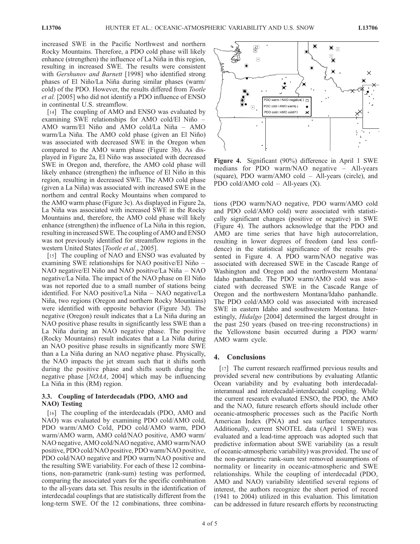increased SWE in the Pacific Northwest and northern Rocky Mountains. Therefore, a PDO cold phase will likely enhance (strengthen) the influence of La Niña in this region, resulting in increased SWE. The results were consistent with *Gershunov and Barnett* [1998] who identified strong phases of El Niño/La Niña during similar phases (warm/ cold) of the PDO. However, the results differed from Tootle et al. [2005] who did not identify a PDO influence of ENSO in continental U.S. streamflow.

[14] The coupling of AMO and ENSO was evaluated by examining SWE relationships for AMO cold/El Niño – AMO warm/El Niño and AMO cold/La Niña  $-$  AMO warm/La Niña. The AMO cold phase (given an El Niño) was associated with decreased SWE in the Oregon when compared to the AMO warm phase (Figure 3b). As displayed in Figure 2a, El Niño was associated with decreased SWE in Oregon and, therefore, the AMO cold phase will likely enhance (strengthen) the influence of El Niño in this region, resulting in decreased SWE. The AMO cold phase (given a La Niña) was associated with increased SWE in the northern and central Rocky Mountains when compared to the AMO warm phase (Figure 3c). As displayed in Figure 2a, La Niña was associated with increased SWE in the Rocky Mountains and, therefore, the AMO cold phase will likely enhance (strengthen) the influence of La Niña in this region, resulting in increased SWE. The coupling of AMO and ENSO was not previously identified for streamflow regions in the western United States [Tootle et al., 2005].

[15] The coupling of NAO and ENSO was evaluated by examining SWE relationships for NAO positive/El Niño  $-$ NAO negative/El Niño and NAO positive/La Niña – NAO negative/La Niña. The impact of the NAO phase on El Niño was not reported due to a small number of stations being identified. For NAO positive/La Niña – NAO negative/La Niña, two regions (Oregon and northern Rocky Mountains) were identified with opposite behavior (Figure 3d). The negative (Oregon) result indicates that a La Niña during an NAO positive phase results in significantly less SWE than a La Niña during an NAO negative phase. The positive (Rocky Mountains) result indicates that a La Niña during an NAO positive phase results in significantly more SWE than a La Niña during an NAO negative phase. Physically, the NAO impacts the jet stream such that it shifts north during the positive phase and shifts south during the negative phase [NOAA, 2004] which may be influencing La Niña in this (RM) region.

### 3.3. Coupling of Interdecadals (PDO, AMO and NAO) Testing

[16] The coupling of the interdecadals (PDO, AMO and NAO) was evaluated by examining PDO cold/AMO cold, PDO warm/AMO Cold, PDO cold/AMO warm, PDO warm/AMO warm, AMO cold/NAO positive, AMO warm/ NAO negative, AMO cold/NAO negative, AMO warm/NAO positive, PDO cold/NAO positive, PDO warm/NAO positive, PDO cold/NAO negative and PDO warm/NAO positive and the resulting SWE variability. For each of these 12 combinations, non-parametric (rank-sum) testing was performed, comparing the associated years for the specific combination to the all-years data set. This results in the identification of interdecadal couplings that are statistically different from the long-term SWE. Of the 12 combinations, three combina-



Figure 4. Significant (90%) difference in April 1 SWE medians for PDO warm/NAO negative – All-years (square), PDO warm/AMO cold – All-years (circle), and PDO cold/AMO cold – All-years (X).

tions (PDO warm/NAO negative, PDO warm/AMO cold and PDO cold/AMO cold) were associated with statistically significant changes (positive or negative) in SWE (Figure 4). The authors acknowledge that the PDO and AMO are time series that have high autocorrelation, resulting in lower degrees of freedom (and less confidence) in the statistical significance of the results presented in Figure 4. A PDO warm/NAO negative was associated with decreased SWE in the Cascade Range of Washington and Oregon and the northwestern Montana/ Idaho panhandle. The PDO warm/AMO cold was associated with decreased SWE in the Cascade Range of Oregon and the northwestern Montana/Idaho panhandle. The PDO cold/AMO cold was associated with increased SWE in eastern Idaho and southwestern Montana. Interestingly, *Hidalgo* [2004] determined the largest drought in the past 250 years (based on tree-ring reconstructions) in the Yellowstone basin occurred during a PDO warm/ AMO warm cycle.

### 4. Conclusions

[17] The current research reaffirmed previous results and provided several new contributions by evaluating Atlantic Ocean variability and by evaluating both interdecadalinterannual and interdecadal-interdecadal coupling. While the current research evaluated ENSO, the PDO, the AMO and the NAO, future research efforts should include other oceanic-atmospheric processes such as the Pacific North American Index (PNA) and sea surface temperatures. Additionally, current SNOTEL data (April 1 SWE) was evaluated and a lead-time approach was adopted such that predictive information about SWE variability (as a result of oceanic-atmospheric variability) was provided. The use of the non-parametric rank-sum test removed assumptions of normality or linearity in oceanic-atmospheric and SWE relationships. While the coupling of interdecadal (PDO, AMO and NAO) variability identified several regions of interest, the authors recognize the short period of record (1941 to 2004) utilized in this evaluation. This limitation can be addressed in future research efforts by reconstructing